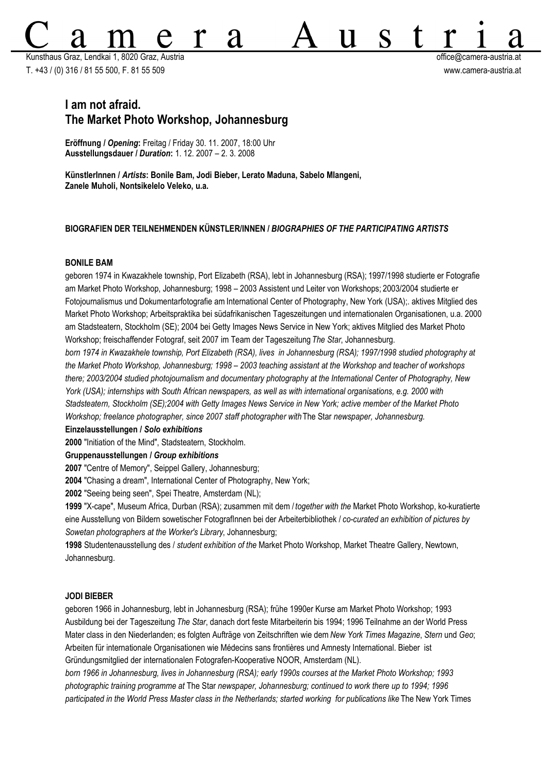Kunsthaus Graz, Lendkai 1, 8020 Graz, Austria office@camera-austria.at T. +43 / (0) 316 / 81 55 500, F. 81 55 509 www.camera-austria.at

S

11

# **I am not afraid. The Market Photo Workshop, Johannesburg**

**Eröffnung /** *Opening***:** Freitag / Friday 30. 11. 2007, 18:00 Uhr **Ausstellungsdauer /** *Duration***:** 1. 12. 2007 – 2. 3. 2008

**KünstlerInnen /** *Artists***: Bonile Bam, Jodi Bieber, Lerato Maduna, Sabelo Mlangeni, Zanele Muholi, Nontsikelelo Veleko, u.a.**

d

# **BIOGRAFIEN DER TEILNEHMENDEN KÜNSTLER/INNEN /** *BIOGRAPHIES OF THE PARTICIPATING ARTISTS*

## **BONILE BAM**

geboren 1974 in Kwazakhele township, Port Elizabeth (RSA), lebt in Johannesburg (RSA); 1997/1998 studierte er Fotografie am Market Photo Workshop, Johannesburg; 1998 – 2003 Assistent und Leiter von Workshops; 2003/2004 studierte er Fotojournalismus und Dokumentarfotografie am International Center of Photography, New York (USA);. aktives Mitglied des Market Photo Workshop; Arbeitspraktika bei südafrikanischen Tageszeitungen und internationalen Organisationen, u.a. 2000 am Stadsteatern, Stockholm (SE); 2004 bei Getty Images News Service in New York; aktives Mitglied des Market Photo Workshop; freischaffender Fotograf, seit 2007 im Team der Tageszeitung *The Star*, Johannesburg.

*born 1974 in Kwazakhele township, Port Elizabeth (RSA), lives in Johannesburg (RSA); 1997/1998 studied photography at the Market Photo Workshop, Johannesburg; 1998 – 2003 teaching assistant at the Workshop and teacher of workshops there; 2003/2004 studied photojournalism and documentary photography at the International Center of Photography, New York (USA); internships with South African newspapers, as well as with international organisations, e.g. 2000 with Stadsteatern, Stockholm (SE);2004 with Getty Images News Service in New York; active member of the Market Photo Workshop; freelance photographer, since 2007 staff photographer with* The Star newspaper, Johannesburg.

## **Einzelausstellungen /** *Solo exhibitions*

**2000** "Initiation of the Mind", Stadsteatern, Stockholm.

**Gruppenausstellungen /** *Group exhibitions*

**2007** "Centre of Memory", Seippel Gallery, Johannesburg;

**2004** "Chasing a dream", International Center of Photography, New York;

**2002** "Seeing being seen", Spei Theatre, Amsterdam (NL);

**1999** "X-cape", Museum Africa, Durban (RSA); zusammen mit dem / *together with the* Market Photo Workshop, ko-kuratierte eine Ausstellung von Bildern sowetischer FotografInnen bei der Arbeiterbibliothek / *co-curated an exhibition of pictures by Sowetan photographers at the Worker's Library*, Johannesburg;

**1998** Studentenausstellung des / *student exhibition of the* Market Photo Workshop, Market Theatre Gallery, Newtown, Johannesburg.

## **JODI BIEBER**

geboren 1966 in Johannesburg, lebt in Johannesburg (RSA); frühe 1990er Kurse am Market Photo Workshop; 1993 Ausbildung bei der Tageszeitung *The Star*, danach dort feste Mitarbeiterin bis 1994; 1996 Teilnahme an der World Press Mater class in den Niederlanden; es folgten Aufträge von Zeitschriften wie dem *New York Times Magazine*, *Stern* und *Geo*; Arbeiten für internationale Organisationen wie Médecins sans frontières und Amnesty International. Bieber ist Gründungsmitglied der internationalen Fotografen-Kooperative NOOR, Amsterdam (NL).

*born 1966 in Johannesburg, lives in Johannesburg (RSA); early 1990s courses at the Market Photo Workshop; 1993 photographic training programme at* The Star *newspaper, Johannesburg; continued to work there up to 1994; 1996 participated in the World Press Master class in the Netherlands; started working for publications like The New York Times*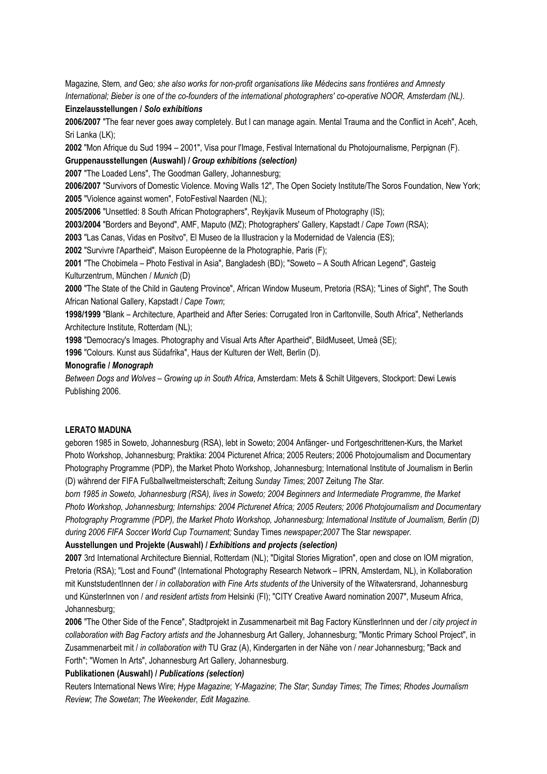Magazine*,* Stern*, and* Geo*; she also works for non-profit organisations like Médecins sans frontières and Amnesty International; Bieber is one of the co-founders of the international photographers' co-operative NOOR, Amsterdam (NL).* 

#### **Einzelausstellungen /** *Solo exhibitions*

**2006/2007** "The fear never goes away completely. But I can manage again. Mental Trauma and the Conflict in Aceh", Aceh, Sri Lanka (LK);

**2002** "Mon Afrique du Sud 1994 – 2001", Visa pour l'Image, Festival International du Photojournalisme, Perpignan (F).

**Gruppenausstellungen (Auswahl) /** *Group exhibitions (selection)*

**2007** "The Loaded Lens", The Goodman Gallery, Johannesburg;

**2006/2007** "Survivors of Domestic Violence. Moving Walls 12", The Open Society Institute/The Soros Foundation, New York; **2005** "Violence against women", FotoFestival Naarden (NL);

**2005/2006** "Unsettled: 8 South African Photographers", Reykjavík Museum of Photography (IS);

**2003/2004** "Borders and Beyond", AMF, Maputo (MZ); Photographers' Gallery, Kapstadt / *Cape Town* (RSA);

**2003** "Las Canas, Vidas en Positvo", El Museo de la Illustracion y la Modernidad de Valencia (ES);

**2002** "Survivre l'Apartheid", Maison Européenne de la Photographie, Paris (F);

**2001** "The Chobimela – Photo Festival in Asia", Bangladesh (BD); "Soweto – A South African Legend", Gasteig Kulturzentrum, München / *Munich* (D)

**2000** "The State of the Child in Gauteng Province", African Window Museum, Pretoria (RSA); "Lines of Sight", The South African National Gallery, Kapstadt / *Cape Town*;

**1998/1999** "Blank – Architecture, Apartheid and After Series: Corrugated Iron in Carltonville, South Africa", Netherlands Architecture Institute, Rotterdam (NL);

**1998** "Democracy's Images. Photography and Visual Arts After Apartheid", BildMuseet, Umeå (SE);

**1996** "Colours. Kunst aus Südafrika", Haus der Kulturen der Welt, Berlin (D).

## **Monografie /** *Monograph*

*Between Dogs and Wolves – Growing up in South Africa*, Amsterdam: Mets & Schilt Uitgevers, Stockport: Dewi Lewis Publishing 2006.

## **LERATO MADUNA**

geboren 1985 in Soweto, Johannesburg (RSA), lebt in Soweto; 2004 Anfänger- und Fortgeschrittenen-Kurs, the Market Photo Workshop, Johannesburg; Praktika: 2004 Picturenet Africa; 2005 Reuters; 2006 Photojournalism and Documentary Photography Programme (PDP), the Market Photo Workshop, Johannesburg; International Institute of Journalism in Berlin (D) während der FIFA Fußballweltmeisterschaft; Zeitung *Sunday Times*; 2007 Zeitung *The Star.*

*born 1985 in Soweto, Johannesburg (RSA), lives in Soweto; 2004 Beginners and Intermediate Programme, the Market Photo Workshop, Johannesburg; Internships: 2004 Picturenet Africa; 2005 Reuters; 2006 Photojournalism and Documentary Photography Programme (PDP), the Market Photo Workshop, Johannesburg; International Institute of Journalism, Berlin (D) during 2006 FIFA Soccer World Cup Tournament;* Sunday Times *newspaper;2007* The Star *newspaper.*

## **Ausstellungen und Projekte (Auswahl) /** *Exhibitions and projects (selection)*

**2007** 3rd International Architecture Biennial, Rotterdam (NL); "Digital Stories Migration", open and close on IOM migration, Pretoria (RSA); "Lost and Found" (International Photography Research Network – IPRN, Amsterdam, NL), in Kollaboration mit KunststudentInnen der / *in collaboration with Fine Arts students of the* University of the Witwatersrand, Johannesburg und KünsterInnen von / *and resident artists from* Helsinki (FI); "CITY Creative Award nomination 2007", Museum Africa, Johannesburg;

**2006** "The Other Side of the Fence", Stadtprojekt in Zusammenarbeit mit Bag Factory KünstlerInnen und der / *city project in collaboration with Bag Factory artists and the* Johannesburg Art Gallery, Johannesburg; "Montic Primary School Project", in Zusammenarbeit mit / *in collaboration with* TU Graz (A), Kindergarten in der Nähe von / *near* Johannesburg; "Back and Forth"; "Women In Arts", Johannesburg Art Gallery, Johannesburg.

# **Publikationen (Auswahl) /** *Publications (selection)*

Reuters International News Wire; *Hype Magazine*; *Y-Magazine*; *The Star*; *Sunday Times*; *The Times*; *Rhodes Journalism Review*; *The Sowetan*; *The Weekender, Edit Magazine.*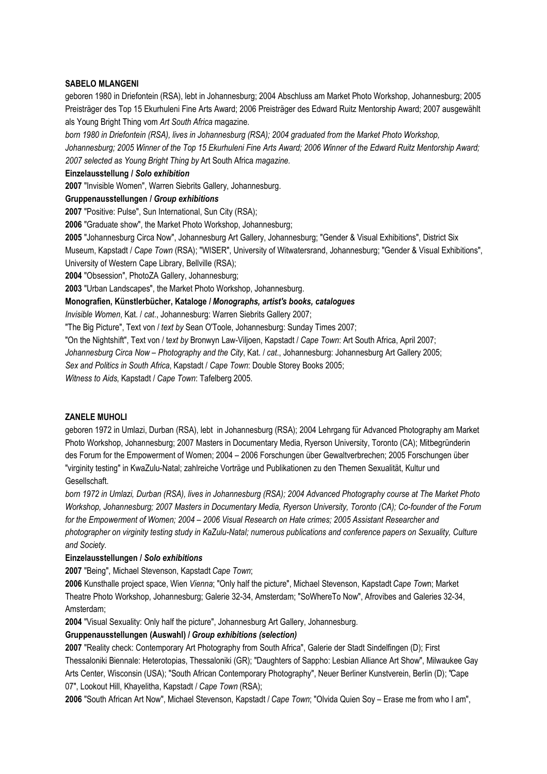## **SABELO MLANGENI**

geboren 1980 in Driefontein (RSA), lebt in Johannesburg; 2004 Abschluss am Market Photo Workshop, Johannesburg; 2005 Preisträger des Top 15 Ekurhuleni Fine Arts Award; 2006 Preisträger des Edward Ruitz Mentorship Award; 2007 ausgewählt als Young Bright Thing vom *Art South Africa* magazine.

*born 1980 in Driefontein (RSA), lives in Johannesburg (RSA); 2004 graduated from the Market Photo Workshop,*

*Johannesburg; 2005 Winner of the Top 15 Ekurhuleni Fine Arts Award; 2006 Winner of the Edward Ruitz Mentorship Award; 2007 selected as Young Bright Thing by* Art South Africa *magazine.*

## **Einzelausstellung /** *Solo exhibition*

**2007** "Invisible Women", Warren Siebrits Gallery, Johannesburg.

**Gruppenausstellungen /** *Group exhibitions*

**2007** "Positive: Pulse", Sun International, Sun City (RSA);

**2006** "Graduate show", the Market Photo Workshop, Johannesburg;

**2005** "Johannesburg Circa Now", Johannesburg Art Gallery, Johannesburg; "Gender & Visual Exhibitions", District Six Museum, Kapstadt / *Cape Town* (RSA); "WISER", University of Witwatersrand, Johannesburg; "Gender & Visual Exhibitions",

University of Western Cape Library, Bellville (RSA);

**2004** "Obsession", PhotoZA Gallery, Johannesburg;

**2003** "Urban Landscapes", the Market Photo Workshop, Johannesburg.

**Monografien, Künstlerbücher, Kataloge /** *Monographs, artist's books, catalogues*

*Invisible Women*, Kat. / *cat*., Johannesburg: Warren Siebrits Gallery 2007;

"The Big Picture", Text von / *text by* Sean O'Toole, Johannesburg: Sunday Times 2007;

"On the Nightshift", Text von / t*ext by* Bronwyn Law-Viljoen, Kapstadt / *Cape Town*: Art South Africa, April 2007;

*Johannesburg Circa Now* – *Photography and the City*, Kat. / *cat*., Johannesburg: Johannesburg Art Gallery 2005;

*Sex and Politics in South Africa*, Kapstadt / *Cape Town*: Double Storey Books 2005;

*Witness to Aids*, Kapstadt / *Cape Town*: Tafelberg 2005.

# **ZANELE MUHOLI**

geboren 1972 in Umlazi, Durban (RSA), lebt in Johannesburg (RSA); 2004 Lehrgang für Advanced Photography am Market Photo Workshop, Johannesburg; 2007 Masters in Documentary Media, Ryerson University, Toronto (CA); Mitbegründerin des Forum for the Empowerment of Women; 2004 – 2006 Forschungen über Gewaltverbrechen; 2005 Forschungen über "virginity testing" in KwaZulu-Natal; zahlreiche Vorträge und Publikationen zu den Themen Sexualität, Kultur und Gesellschaft.

*born 1972 in Umlazi, Durban (RSA), lives in Johannesburg (RSA); 2004 Advanced Photography course at The Market Photo Workshop, Johannesburg; 2007 Masters in Documentary Media, Ryerson University, Toronto (CA); Co-founder of the Forum for the Empowerment of Women; 2004 – 2006 Visual Research on Hate crimes; 2005 Assistant Researcher and photographer on virginity testing study in KaZulu-Natal; numerous publications and conference papers on Sexuality, Culture and Society.*

## **Einzelausstellungen /** *Solo exhibitions*

**2007** "Being", Michael Stevenson, Kapstadt *Cape Town*;

**2006** Kunsthalle project space, Wien *Vienna*; "Only half the picture", Michael Stevenson, Kapstadt *Cape Tow*n; Market Theatre Photo Workshop, Johannesburg; Galerie 32-34, Amsterdam; "SoWhereTo Now", Afrovibes and Galeries 32-34, Amsterdam;

**2004** "Visual Sexuality: Only half the picture", Johannesburg Art Gallery, Johannesburg.

# **Gruppenausstellungen (Auswahl) /** *Group exhibitions (selection)*

**2007** "Reality check: Contemporary Art Photography from South Africa", Galerie der Stadt Sindelfingen (D); First Thessaloniki Biennale: Heterotopias, Thessaloniki (GR); "Daughters of Sappho: Lesbian Alliance Art Show", Milwaukee Gay Arts Center, Wisconsin (USA); "South African Contemporary Photography", Neuer Berliner Kunstverein, Berlin (D); "Cape 07", Lookout Hill, Khayelitha, Kapstadt / *Cape Town* (RSA);

**2006** "South African Art Now", Michael Stevenson, Kapstadt / *Cape Town*; "Olvida Quien Soy – Erase me from who I am",